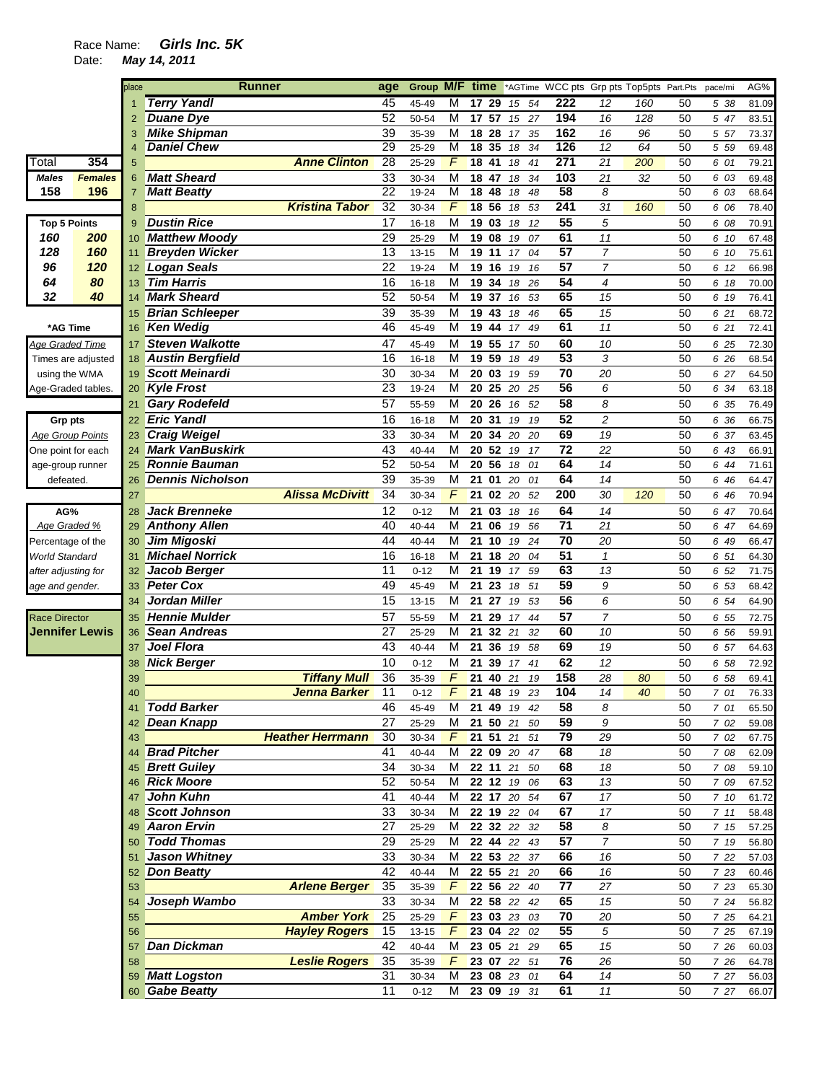*Gabe Beatty* 11 0-12 M **23 09** *19 31* **61** *11* 50 *7 27* 66.07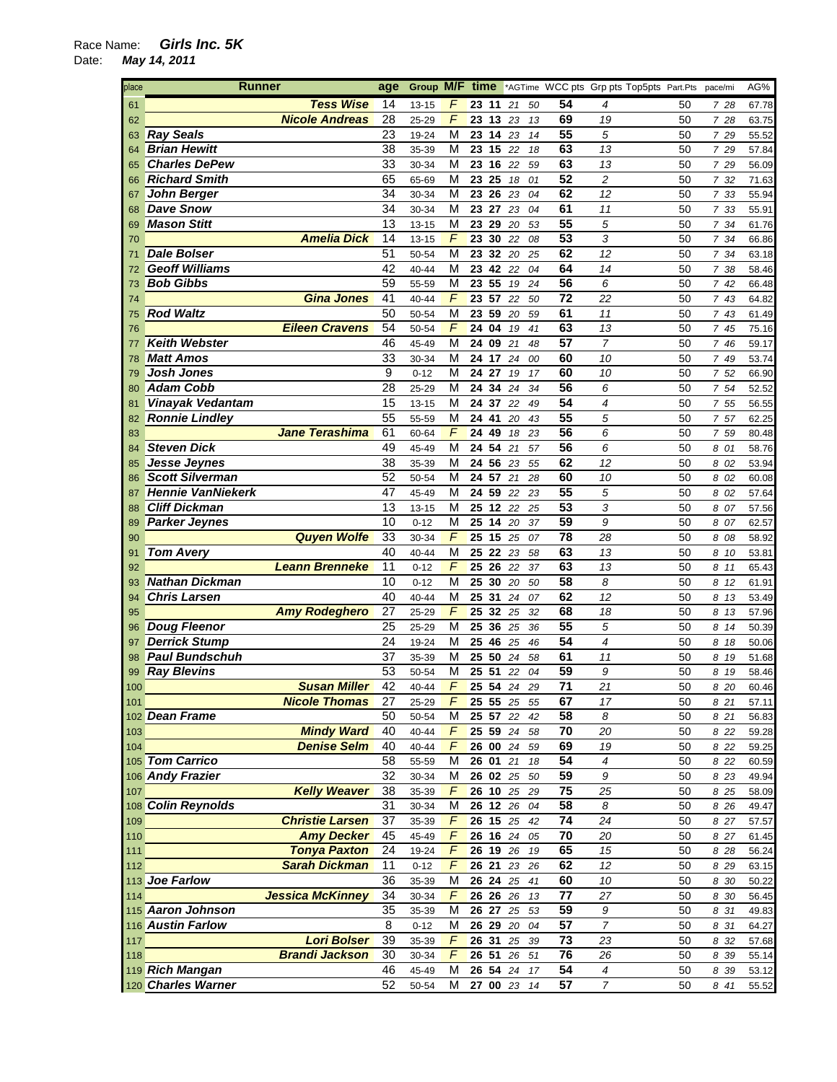| place | <b>Runner</b>            | age | Group M/F time                   |                   |             |    |    |                 | *AGTime WCC pts Grp pts Top5pts Part.Pts |    | pace/mi | AG%   |
|-------|--------------------------|-----|----------------------------------|-------------------|-------------|----|----|-----------------|------------------------------------------|----|---------|-------|
| 61    | <b>Tess Wise</b>         | 14  | F<br>$13 - 15$                   | 23 11             |             | 21 | 50 | 54              | 4                                        | 50 | 728     | 67.78 |
| 62    | <b>Nicole Andreas</b>    | 28  | $\sqrt{2}$<br>25-29              | 23 13             |             | 23 | 13 | 69              | 19                                       | 50 | 7 28    | 63.75 |
| 63    | <b>Ray Seals</b>         | 23  | M<br>19-24                       | 23 14             |             | 23 | 14 | $\overline{55}$ | 5                                        | 50 | 7 29    | 55.52 |
| 64    | <b>Brian Hewitt</b>      | 38  | M<br>35-39                       | 23 15             |             | 22 | 18 | 63              | 13                                       | 50 | 7 29    | 57.84 |
| 65    | <b>Charles DePew</b>     | 33  | М<br>30-34                       | 23                | 16          | 22 | 59 | 63              | 13                                       | 50 | 7 29    | 56.09 |
| 66    | <b>Richard Smith</b>     | 65  | М<br>65-69                       | 23 25             |             | 18 | 01 | 52              | $\overline{c}$                           | 50 | 7 32    | 71.63 |
| 67    | <b>John Berger</b>       | 34  | M<br>30-34                       | 23 26             |             | 23 | 04 | 62              | 12                                       | 50 | 7 33    | 55.94 |
| 68    | <b>Dave Snow</b>         | 34  | M<br>30-34                       | 23                | 27          | 23 | 04 | 61              | 11                                       | 50 | 7 33    | 55.91 |
| 69    | <b>Mason Stitt</b>       | 13  | M<br>13-15                       | 23 29             |             | 20 | 53 | 55              | 5                                        | 50 | 7 34    | 61.76 |
| 70    | <b>Amelia Dick</b>       | 14  | F<br>13-15                       | 23 30             |             | 22 | 08 | 53              | 3                                        | 50 | 7 34    | 66.86 |
| 71    | <b>Dale Bolser</b>       | 51  | M<br>50-54                       | 23 32             |             | 20 | 25 | 62              | 12                                       | 50 | 7 34    | 63.18 |
|       | <b>Geoff Williams</b>    | 42  | М<br>40-44                       | 23 42             |             | 22 | 04 | 64              | 14                                       | 50 | 7 38    | 58.46 |
| 73    | <b>Bob Gibbs</b>         | 59  | M<br>55-59                       | 23 55             |             | 19 | 24 | 56              | 6                                        | 50 | 7 42    | 66.48 |
| 74    | <b>Gina Jones</b>        | 41  | F<br>40-44                       | 23                | 57          | 22 | 50 | 72              | 22                                       | 50 | 7 43    | 64.82 |
| 75    | <b>Rod Waltz</b>         | 50  | M<br>50-54                       | 23 59             |             | 20 | 59 | 61              | 11                                       | 50 | 7 43    | 61.49 |
| 76    | <b>Eileen Cravens</b>    | 54  | F<br>50-54                       | 24 04             |             | 19 | 41 | 63              | 13                                       | 50 | 7 45    | 75.16 |
| 77    | <b>Keith Webster</b>     | 46  | М<br>45-49                       | 24 09             |             | 21 | 48 | 57              | $\overline{7}$                           | 50 | 7 46    | 59.17 |
| 78    | <b>Matt Amos</b>         | 33  | M<br>30-34                       | 24 17             |             | 24 | 00 | 60              | 10                                       | 50 | 7 49    | 53.74 |
| 79    | <b>Josh Jones</b>        | 9   | M<br>$0 - 12$                    | 24 27             |             | 19 | 17 | 60              | 10                                       | 50 | 7 52    | 66.90 |
| 80    | <b>Adam Cobb</b>         | 28  | M<br>25-29                       | 24 34             |             | 24 | 34 | 56              | 6                                        | 50 | 7 54    | 52.52 |
|       | <b>Vinayak Vedantam</b>  | 15  | M                                |                   |             |    |    | 54              | $\overline{4}$                           |    |         |       |
| 81    |                          | 55  | 13-15<br>M                       | 24 37             |             | 22 | 49 | 55              |                                          | 50 | 7 55    | 56.55 |
| 82    | <b>Ronnie Lindley</b>    |     | 55-59                            | 24 41             |             | 20 | 43 |                 | 5                                        | 50 | 7 57    | 62.25 |
| 83    | <b>Jane Terashima</b>    | 61  | F<br>60-64                       | 24 49             |             | 18 | 23 | 56              | 6                                        | 50 | 7 59    | 80.48 |
| 84    | <b>Steven Dick</b>       | 49  | M<br>45-49                       | 24 54             |             | 21 | 57 | 56<br>62        | 6                                        | 50 | 8 01    | 58.76 |
| 85    | Jesse Jeynes             | 38  | М<br>35-39                       | 24 56             |             | 23 | 55 |                 | 12                                       | 50 | 8 02    | 53.94 |
| 86    | <b>Scott Silverman</b>   | 52  | М<br>50-54                       | 24 57             |             | 21 | 28 | 60              | 10                                       | 50 | 8 02    | 60.08 |
| 87    | <b>Hennie VanNiekerk</b> | 47  | М<br>45-49                       | 24 59             |             | 22 | 23 | 55              | 5                                        | 50 | 8 02    | 57.64 |
| 88    | <b>Cliff Dickman</b>     | 13  | М<br>13-15                       | 25 12             |             | 22 | 25 | 53              | 3                                        | 50 | 8 07    | 57.56 |
| 89    | <b>Parker Jeynes</b>     | 10  | M<br>$0 - 12$                    |                   | 25 14       | 20 | 37 | 59              | 9                                        | 50 | 8 07    | 62.57 |
| 90    | <b>Quyen Wolfe</b>       | 33  | F<br>30-34                       | 25                | 15          | 25 | 07 | 78              | 28                                       | 50 | 8 08    | 58.92 |
| 91    | <b>Tom Avery</b>         | 40  | M<br>40-44                       | 25                | 22          | 23 | 58 | 63              | 13                                       | 50 | 8 10    | 53.81 |
| 92    | <b>Leann Brenneke</b>    | 11  | F<br>$0 - 12$                    | 25 26             |             | 22 | 37 | 63              | 13                                       | 50 | 8 11    | 65.43 |
| 93    | Nathan Dickman           | 10  | M<br>$0 - 12$                    | 25                | 30          | 20 | 50 | 58              | 8                                        | 50 | 8 12    | 61.91 |
| 94    | <b>Chris Larsen</b>      | 40  | М<br>40-44                       | 25 31             |             | 24 | 07 | 62              | 12                                       | 50 | 8 13    | 53.49 |
| 95    | <b>Amy Rodeghero</b>     | 27  | $\sqrt{2}$<br>25-29              | 2532              |             | 25 | 32 | 68              | 18                                       | 50 | 8 13    | 57.96 |
| 96    | <b>Doug Fleenor</b>      | 25  | M<br>25-29                       | 25                | 36          | 25 | 36 | 55              | 5                                        | 50 | 8 14    | 50.39 |
| 97    | <b>Derrick Stump</b>     | 24  | М<br>19-24                       | 25 46             |             | 25 | 46 | 54              | $\overline{4}$                           | 50 | 8 18    | 50.06 |
| 98    | <b>Paul Bundschuh</b>    | 37  | M<br>35-39                       | 25 50             |             | 24 | 58 | 61              | 11                                       | 50 | 8 19    | 51.68 |
| 99    | <b>Ray Blevins</b>       | 53  | М<br>50-54                       | 25 51             |             | 22 | 04 | 59              | 9                                        | 50 | 8 19    | 58.46 |
| 100   | <b>Susan Miller</b>      | 42  | F<br>40-44                       |                   | 25 54       | 24 | 29 | 71              | 21                                       | 50 | 8 20    | 60.46 |
| 101   | <b>Nicole Thomas</b>     | 27  | 25-29<br>F                       |                   | 25 55 25 55 |    |    | 67              | 17                                       | 50 | 8 21    | 57.11 |
|       | 102 Dean Frame           | 50  | $\overline{\mathsf{M}}$<br>50-54 | $25\overline{57}$ |             | 22 | 42 | 58              | 8                                        | 50 | 8 21    | 56.83 |
| 103   | <b>Mindy Ward</b>        | 40  | $\overline{F}$<br>40-44          |                   | 25 59 24 58 |    |    | 70              | 20                                       | 50 | 8 2 2   | 59.28 |
| 104   | <b>Denise Selm</b>       | 40  | $\sqrt{ }$<br>$40 - 44$          |                   | 26 00 24    |    | 59 | 69              | 19                                       | 50 | 8 2 2   | 59.25 |
|       | 105 Tom Carrico          | 58  | 55-59<br>M                       |                   | 26 01 21    |    | 18 | 54              | $\boldsymbol{4}$                         | 50 | 8 2 2   | 60.59 |
|       | 106 Andy Frazier         | 32  | M<br>30-34                       |                   | 26 02 25 50 |    |    | 59              | 9                                        | 50 | 8 2 3   | 49.94 |
| 107   | <b>Kelly Weaver</b>      | 38  | $\sqrt{2}$<br>35-39              |                   | 26 10 25    |    | 29 | $\overline{75}$ | 25                                       | 50 | 8 25    | 58.09 |
|       | 108 Colin Reynolds       | 31  | M<br>30-34                       |                   | 26 12 26    |    | 04 | 58              | 8                                        | 50 | 8 26    | 49.47 |
| 109   | <b>Christie Larsen</b>   | 37  | $\sqrt{2}$<br>35-39              |                   | 26 15 25    |    | 42 | $\overline{74}$ | 24                                       | 50 | 8 27    | 57.57 |
| 110   | <b>Amy Decker</b>        | 45  | F<br>45-49                       |                   | 26 16 24    |    | 05 | 70              | 20                                       | 50 | 8 27    | 61.45 |
| 111   | <b>Tonya Paxton</b>      | 24  | F<br>19-24                       |                   | 26 19 26    |    | 19 | 65              | 15                                       | 50 | 8 28    | 56.24 |
| 112   | <b>Sarah Dickman</b>     | 11  | $\overline{F}$<br>$0 - 12$       |                   | 26 21 23 26 |    |    | 62              | 12                                       | 50 | 8 2 9   | 63.15 |
|       | 113 Joe Farlow           | 36  | M<br>35-39                       |                   | 26 24 25    |    | 41 | 60              | 10                                       | 50 | 8 30    | 50.22 |
| 114   | <b>Jessica McKinney</b>  | 34  | $\sqrt{2}$<br>30-34              |                   | 26 26 26 13 |    |    | $\overline{77}$ | 27                                       | 50 | 8 30    | 56.45 |
|       | 115 Aaron Johnson        | 35  | M<br>35-39                       | 26 27             |             | 25 | 53 | 59              | 9                                        | 50 | 8 31    | 49.83 |
|       | 116 Austin Farlow        | 8   | M<br>$0 - 12$                    |                   | 26 29 20    |    | 04 | 57              | $\boldsymbol{7}$                         | 50 | 8 31    | 64.27 |
| 117   | <b>Lori Bolser</b>       | 39  | F<br>35-39                       |                   | 26 31 25 39 |    |    | 73              | 23                                       | 50 | 8 3 2   | 57.68 |
| 118   | <b>Brandi Jackson</b>    | 30  | F<br>30-34                       |                   | 26 51 26 51 |    |    | 76              | 26                                       | 50 | 8 39    | 55.14 |
|       | 119 Rich Mangan          | 46  | M<br>45-49                       |                   | 26 54 24    |    | 17 | 54              | $\pmb{4}$                                | 50 | 8 39    | 53.12 |
|       | 120 Charles Warner       | 52  | $\overline{\mathsf{M}}$<br>50-54 |                   | 27 00 23 14 |    |    | 57              | $\overline{7}$                           | 50 | 8 41    | 55.52 |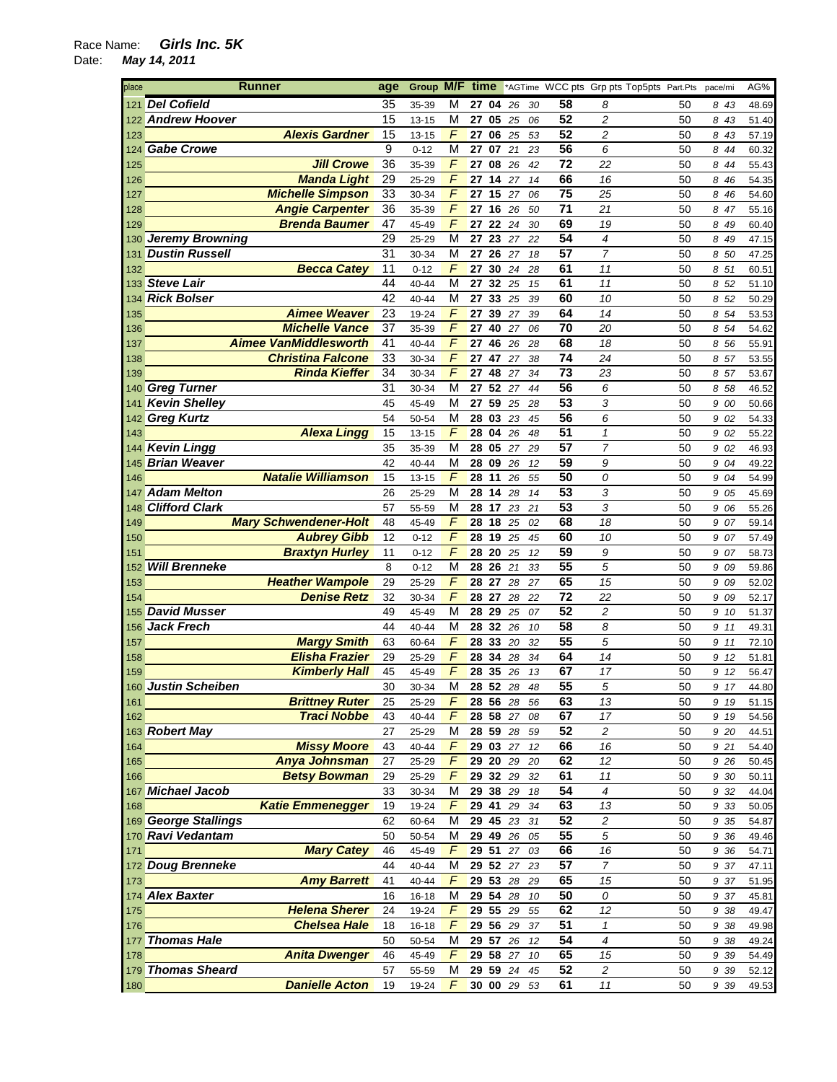| place | Runner                       | age             | Group     | <b>M/F</b>              | time        |       |        |    | *AGTime WCC pts Grp pts Top5pts Part.Pts |                          |    | pace/mi | AG%   |
|-------|------------------------------|-----------------|-----------|-------------------------|-------------|-------|--------|----|------------------------------------------|--------------------------|----|---------|-------|
|       | 121 Del Cofield              | 35              | 35-39     | М                       | 27          | 04    | 26     | 30 | 58                                       | 8                        | 50 | 843     | 48.69 |
|       | 122 Andrew Hoover            | 15              | $13 - 15$ | M                       | 27 05       |       | 25     | 06 | 52                                       | $\overline{c}$           | 50 | 8 43    | 51.40 |
| 123   | <b>Alexis Gardner</b>        | 15              | 13-15     | $\overline{F}$          | 27          | 06    | 25     | 53 | 52                                       | $\overline{c}$           | 50 | 8 43    | 57.19 |
| 124   | <b>Gabe Crowe</b>            | 9               | $0 - 12$  | M                       | 27          | 07    | 21     | 23 | 56                                       | 6                        | 50 | 8 44    | 60.32 |
| 125   | <b>Jill Crowe</b>            | 36              | 35-39     | F                       | 27          | 08    | 26     | 42 | 72                                       | 22                       | 50 | 8 44    | 55.43 |
| 126   | <b>Manda Light</b>           | 29              | 25-29     | F                       | 27          | 14    | 27     | 14 | 66                                       | 16                       | 50 | 8 46    | 54.35 |
| 127   | <b>Michelle Simpson</b>      | 33              | 30-34     | $\sqrt{2}$              | 27          | 15    | 27     | 06 | 75                                       | 25                       | 50 | 8 46    | 54.60 |
| 128   | <b>Angie Carpenter</b>       | 36              | 35-39     | $\sqrt{2}$              | 27          | 16    | 26     | 50 | 71                                       | 21                       | 50 | 8 47    | 55.16 |
| 129   | <b>Brenda Baumer</b>         | 47              | 45-49     | F                       | 27          | 22    | 24     | 30 | 69                                       | 19                       | 50 | 8 49    | 60.40 |
| 130   | <b>Jeremy Browning</b>       | 29              | 25-29     | М                       | 27          | 23    | 27     | 22 | 54                                       | $\overline{4}$           | 50 | 8 49    | 47.15 |
| 131   | <b>Dustin Russell</b>        | 31              | 30-34     | M                       | 27          | 26    | 27     | 18 | $\overline{57}$                          | $\overline{7}$           | 50 | 8 50    | 47.25 |
| 132   | <b>Becca Catey</b>           | 11              | $0 - 12$  | F                       | 27          | 30    | 24     | 28 | 61                                       | 11                       | 50 | 8 51    | 60.51 |
|       | 133 Steve Lair               | 44              | 40-44     | M                       | 27          | 32    | 25     | 15 | 61                                       | 11                       | 50 | 8 52    | 51.10 |
|       | 134 Rick Bolser              | $\overline{42}$ | 40-44     | $\overline{\mathsf{M}}$ | 27          | 33    | 25     | 39 | 60                                       | 10                       | 50 | 8 52    | 50.29 |
| 135   | <b>Aimee Weaver</b>          | 23              | 19-24     | F                       | 27          | 39    | 27     | 39 | 64                                       | 14                       | 50 | 8 54    | 53.53 |
| 136   | <b>Michelle Vance</b>        | 37              | 35-39     | F                       | 27          | 40    | 27     | 06 | 70                                       | 20                       | 50 | 8 54    | 54.62 |
| 137   | <b>Aimee VanMiddlesworth</b> | 41              | 40-44     | F                       | 27          | 46    | 26     | 28 | 68                                       | 18                       | 50 | 8 56    | 55.91 |
| 138   | <b>Christina Falcone</b>     | 33              | 30-34     | $\sqrt{2}$              | 27          | 47    | 27     | 38 | 74                                       | 24                       | 50 | 8 57    | 53.55 |
| 139   | <b>Rinda Kieffer</b>         | 34              | 30-34     | $\sqrt{ }$              | 27          | 48    | 27     | 34 | 73                                       | 23                       | 50 | 8 57    | 53.67 |
|       | 140 Greg Turner              | 31              | 30-34     | M                       | 27          |       | 52 27  | 44 | 56                                       | 6                        | 50 | 8 58    | 46.52 |
| 141   | <b>Kevin Shelley</b>         | 45              | 45-49     | М                       | 27          | 59    | 25     | 28 | 53                                       | 3                        | 50 | 9 00    | 50.66 |
|       | 142 Greg Kurtz               | 54              | 50-54     | M                       | 28 03       |       | 23     | 45 | 56                                       | 6                        | 50 | 9 02    | 54.33 |
| 143   | <b>Alexa Lingg</b>           | 15              | $13 - 15$ | F                       | 28          | 04    | 26     | 48 | 51                                       | $\mathcal I$             | 50 | 9 02    | 55.22 |
|       | 144 Kevin Lingg              | 35              | 35-39     | M                       | 28 05       |       | 27     | 29 | $\overline{57}$                          | $\overline{7}$           | 50 | 9 02    | 46.93 |
|       | 145 Brian Weaver             | 42              | 40-44     | M                       | 28 09       |       | 26     | 12 | 59                                       | 9                        | 50 | 9 04    | 49.22 |
| 146   | <b>Natalie Williamson</b>    | 15              | $13 - 15$ | F                       | 28          | 11    | 26     | 55 | 50                                       | 0                        | 50 | 9 04    | 54.99 |
| 147   | <b>Adam Melton</b>           | 26              | 25-29     | M                       | 28          | 14    | 28     | 14 | 53                                       | 3                        | 50 | 9 05    | 45.69 |
|       | 148 Clifford Clark           | 57              | 55-59     | M                       | 28          | 17    | 23     | 21 | $\overline{53}$                          | 3                        | 50 | 9 06    | 55.26 |
| 149   | <b>Mary Schwendener-Holt</b> | 48              | 45-49     | F                       | 28          | 18    | 25     | 02 | 68                                       | 18                       | 50 | 9 07    | 59.14 |
| 150   | <b>Aubrey Gibb</b>           | 12              | $0 - 12$  | $\sqrt{ }$              | 28 19       |       | 25     | 45 | 60                                       | 10                       | 50 | 9 07    | 57.49 |
| 151   | <b>Braxtyn Hurley</b>        | 11              | $0 - 12$  | F                       | 28          | 20    | 25     | 12 | 59                                       | 9                        | 50 | 9 07    | 58.73 |
|       | 152 Will Brenneke            | 8               | $0 - 12$  | М                       | 28          | 26    | 21     | 33 | 55                                       | 5                        | 50 | 9 09    | 59.86 |
| 153   | <b>Heather Wampole</b>       | 29              | 25-29     | F                       | 28          | 27    | 28     | 27 | 65                                       | 15                       | 50 | 9 09    | 52.02 |
| 154   | <b>Denise Retz</b>           | 32              | 30-34     | $\overline{F}$          | 28 27       |       | 28     | 22 | $\overline{72}$                          | 22                       | 50 | 9 09    | 52.17 |
|       | 155 David Musser             | 49              | 45-49     | M                       | 28          | 29    | 25     | 07 | 52                                       | $\overline{c}$           | 50 | 9 10    | 51.37 |
|       | 156 Jack Frech               | 44              | 40-44     | M                       | 28 32       |       | 26     | 10 | 58                                       | 8                        | 50 | 9 11    | 49.31 |
| 157   | <b>Margy Smith</b>           | 63              | 60-64     | $\overline{F}$          | 28          | 33    | 20     | 32 | 55                                       | 5                        | 50 | 9 11    | 72.10 |
| 158   | <b>Elisha Frazier</b>        | 29              | 25-29     | F                       | 28          | 34    | 28     | 34 | 64                                       | 14                       | 50 | 9 12    | 51.81 |
| 159   | <b>Kimberly Hall</b>         | 45              | 45-49     | F                       | 28          | 35 26 |        | 13 | 67                                       | 17                       | 50 | 9 12    | 56.47 |
|       | 160 Justin Scheiben          | 30              | 30-34     | M                       | 28          | 52    | 28     | 48 | 55                                       | 5                        | 50 | 9 17    | 44.80 |
| 161   | <b>Brittney Ruter</b>        | 25              | 25-29     | F                       | 28 56 28 56 |       |        |    | 63                                       | 13                       | 50 | 9 19    | 51.15 |
| 162   | <b>Traci Nobbe</b>           | 43              | 40-44     | F                       | 28 58 27    |       |        | 08 | 67                                       | 17                       | 50 | 9 19    | 54.56 |
|       | 163 Robert May               | 27              | 25-29     | M                       | 28 59 28    |       |        | 59 | 52                                       | $\overline{c}$           | 50 | 9 20    | 44.51 |
| 164   | <b>Missy Moore</b>           | 43              | 40-44     | F                       | 29 03 27 12 |       |        |    | 66                                       | 16                       | 50 | 9 21    | 54.40 |
| 165   | <b>Anya Johnsman</b>         | 27              | 25-29     | F                       | 29 20 29    |       |        | 20 | 62                                       | 12                       | 50 | 9 26    | 50.45 |
| 166   | <b>Betsy Bowman</b>          | 29              | 25-29     | $\overline{F}$          | 29          | 32    | 29     | 32 | 61                                       | 11                       | 50 | 9 30    | 50.11 |
|       | 167 Michael Jacob            | 33              | 30-34     | М                       | 29 38 29    |       |        | 18 | 54                                       | $\overline{4}$           | 50 | 9 32    | 44.04 |
| 168   | <b>Katie Emmenegger</b>      | 19              | 19-24     | F                       | 29 41       |       | 29     | 34 | 63                                       | 13                       | 50 | 9 33    | 50.05 |
|       | 169 George Stallings         | 62              | 60-64     | M                       | 29 45 23    |       |        | 31 | 52                                       | 2                        | 50 | 9 35    | 54.87 |
|       | 170 Ravi Vedantam            | 50              | 50-54     | М                       | 29 49 26 05 |       |        |    | 55                                       | 5                        | 50 | 9 36    | 49.46 |
| 171   | <b>Mary Catey</b>            | 46              | 45-49     | $\sqrt{2}$              | 29 51       |       | $27\,$ | 03 | 66                                       | 16                       | 50 | 9 36    | 54.71 |
|       | 172 Doug Brenneke            | 44              | 40-44     | M                       | 29 52 27    |       |        | 23 | 57                                       | $\boldsymbol{7}$         | 50 | 9 37    | 47.11 |
| 173   | <b>Amy Barrett</b>           | 41              | 40-44     | $\overline{F}$          | 29 53 28    |       |        | 29 | 65                                       | 15                       | 50 | 9 37    | 51.95 |
|       | 174 Alex Baxter              | 16              | 16-18     | M                       | 29 54 28    |       |        | 10 | 50                                       | 0                        | 50 | 9 37    | 45.81 |
| 175   | <b>Helena Sherer</b>         | 24              | 19-24     | F                       | 29 55 29    |       |        | 55 | 62                                       | 12                       | 50 | 9 38    | 49.47 |
| 176   | <b>Chelsea Hale</b>          | 18              | 16-18     | F                       | 29 56 29    |       |        | 37 | $\overline{51}$                          | $\mathbf{1}$             | 50 | 9 38    | 49.98 |
|       | 177 Thomas Hale              | 50              | 50-54     | M                       | 29 57       |       | 26     | 12 | 54                                       | $\overline{\mathcal{L}}$ | 50 | 9 38    | 49.24 |
| 178   | <b>Anita Dwenger</b>         | 46              | 45-49     | $\sqrt{2}$              | 29 58 27    |       |        | 10 | 65                                       | 15                       | 50 | 9 3 9   | 54.49 |
|       | 179 Thomas Sheard            | 57              | 55-59     | M                       | 29 59 24    |       |        | 45 | 52                                       | 2                        | 50 | 9 39    | 52.12 |
| 180   | <b>Danielle Acton</b>        | 19              | 19-24     | F                       | 30 00 29    |       |        | 53 | 61                                       | 11                       | 50 | 9 39    | 49.53 |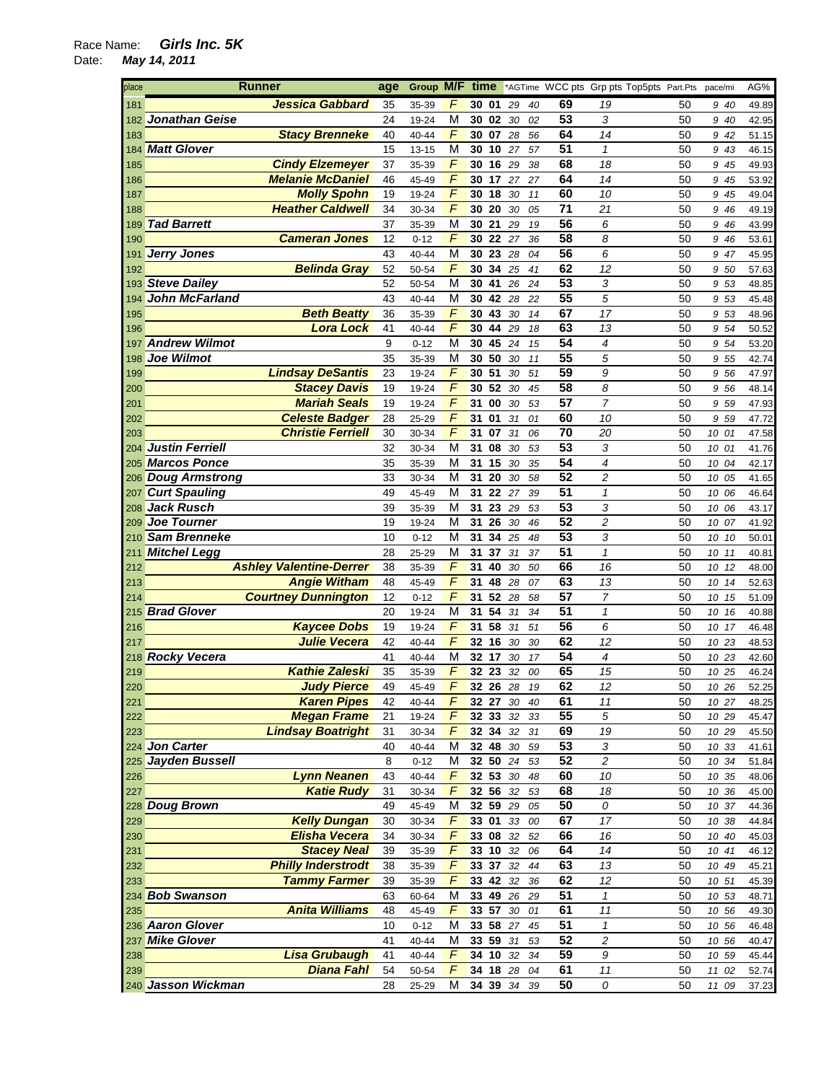| place | <b>Runner</b>                  | age | Group M/F time |                |       |          |    |                 | *AGTime WCC pts Grp pts Top5pts Part.Pts |    | pace/mi | AG%   |
|-------|--------------------------------|-----|----------------|----------------|-------|----------|----|-----------------|------------------------------------------|----|---------|-------|
| 181   | Jessica Gabbard                | 35  | 35-39          | F              | 30 01 | 29       | 40 | 69              | 19                                       | 50 | 9 40    | 49.89 |
| 182   | <b>Jonathan Geise</b>          | 24  | 19-24          | M              | 30 02 | 30       | 02 | 53              | 3                                        | 50 | 9 40    | 42.95 |
| 183   | <b>Stacy Brenneke</b>          | 40  | 40-44          | $\sqrt{2}$     | 30 07 | 28       | 56 | 64              | 14                                       | 50 | 9 42    | 51.15 |
| 184   | <b>Matt Glover</b>             | 15  | 13-15          | M              | 30 10 | 27       | 57 | 51              | $\mathbf{1}$                             | 50 | 9 43    | 46.15 |
| 185   | <b>Cindy Elzemeyer</b>         | 37  | 35-39          | F              | 30 16 | 29       | 38 | 68              | 18                                       | 50 | 9 45    | 49.93 |
| 186   | <b>Melanie McDaniel</b>        | 46  | 45-49          | $\overline{F}$ | 30 17 | 27       | 27 | 64              | 14                                       | 50 | 9 45    | 53.92 |
| 187   | <b>Molly Spohn</b>             | 19  | 19-24          | $\overline{F}$ | 30 18 | 30       | 11 | 60              | 10                                       | 50 | 9 45    | 49.04 |
| 188   | <b>Heather Caldwell</b>        | 34  | 30-34          | $\sqrt{2}$     | 30 20 | 30       | 05 | 71              | 21                                       | 50 | 9 46    | 49.19 |
| 189   | <b>Tad Barrett</b>             | 37  | 35-39          | M              | 30 21 | 29       | 19 | 56              | 6                                        | 50 | 9 4 6   | 43.99 |
| 190   | <b>Cameran Jones</b>           | 12  | $0 - 12$       | F              | 30 22 | 27       | 36 | 58              | 8                                        | 50 | 9 46    | 53.61 |
| 191   | <b>Jerry Jones</b>             | 43  | 40-44          | M              | 30 23 | 28       | 04 | 56              | 6                                        | 50 | 9 47    | 45.95 |
| 192   | <b>Belinda Gray</b>            | 52  | 50-54          | F              | 30 34 | 25       | 41 | 62              | 12                                       | 50 | 9 50    | 57.63 |
|       | 193 Steve Dailey               | 52  | 50-54          | M              | 30 41 | 26       | 24 | $\overline{53}$ | 3                                        | 50 | 9 53    | 48.85 |
|       | 194 John McFarland             | 43  | 40-44          | M              | 30 42 | 28       | 22 | 55              | 5                                        | 50 | 9 53    | 45.48 |
| 195   | <b>Beth Beatty</b>             | 36  | 35-39          | F              | 30    | 43<br>30 | 14 | 67              | 17                                       | 50 | 9 53    | 48.96 |
| 196   | <b>Lora Lock</b>               | 41  | 40-44          | F              | 30 44 | 29       | 18 | 63              | 13                                       | 50 | 9 54    | 50.52 |
| 197   | <b>Andrew Wilmot</b>           | 9   | $0 - 12$       | M              | 30 45 | 24       | 15 | 54              | $\overline{4}$                           | 50 | 9 54    | 53.20 |
| 198   | <b>Joe Wilmot</b>              | 35  | 35-39          | M              | 30 50 | 30       | 11 | 55              | 5                                        | 50 | 9 55    | 42.74 |
| 199   | <b>Lindsay DeSantis</b>        | 23  | 19-24          | $\sqrt{ }$     | 30 51 | 30       | 51 | 59              | 9                                        | 50 | 9 56    | 47.97 |
| 200   | <b>Stacey Davis</b>            | 19  | 19-24          | F              | 30 52 | 30       | 45 | 58              | 8                                        | 50 | 9 56    | 48.14 |
| 201   | <b>Mariah Seals</b>            | 19  | 19-24          | F              | 31    | 00<br>30 | 53 | 57              | $\overline{7}$                           | 50 | 9 59    | 47.93 |
| 202   | <b>Celeste Badger</b>          | 28  | 25-29          | F              | 31 01 | 31       | 01 | 60              | 10                                       | 50 | 9 59    | 47.72 |
| 203   | <b>Christie Ferriell</b>       | 30  | 30-34          | $\overline{F}$ | 31    | 07<br>31 | 06 | 70              | 20                                       | 50 | 10 01   | 47.58 |
| 204   | <b>Justin Ferriell</b>         | 32  | 30-34          | M              | 31    | 08<br>30 | 53 | $\overline{53}$ | 3                                        | 50 | 10 01   | 41.76 |
| 205   | <b>Marcos Ponce</b>            | 35  | 35-39          | М              | 31 15 | 30       | 35 | 54              | $\overline{\mathcal{A}}$                 | 50 | 10 04   | 42.17 |
| 206   | <b>Doug Armstrong</b>          | 33  | 30-34          | M              | 31 20 | 30       | 58 | 52              | 2                                        | 50 | 10 05   | 41.65 |
| 207   | <b>Curt Spauling</b>           | 49  | 45-49          | M              | 31    | 22<br>27 | 39 | 51              | 1                                        | 50 | 10 06   | 46.64 |
| 208   | <b>Jack Rusch</b>              | 39  | 35-39          | M              | 31 23 | 29       | 53 | 53              | 3                                        | 50 | 10 06   | 43.17 |
| 209   | <b>Joe Tourner</b>             | 19  | 19-24          | M              | 31    | 26<br>30 | 46 | 52              | $\overline{c}$                           | 50 | 10 07   | 41.92 |
| 210   | Sam Brenneke                   | 10  | $0 - 12$       | M              | 31    | 34<br>25 | 48 | $\overline{53}$ | 3                                        | 50 | 10 10   | 50.01 |
| 211   | <b>Mitchel Legg</b>            | 28  | 25-29          | M              | 31    | 37<br>31 | 37 | 51              | $\mathbf{1}$                             | 50 | 10 11   | 40.81 |
| 212   | <b>Ashley Valentine-Derrer</b> | 38  | 35-39          | F              | 31    | 40<br>30 | 50 | 66              | 16                                       | 50 | 10 12   | 48.00 |
| 213   | <b>Angie Witham</b>            | 48  | 45-49          | F              | 31 48 | 28       | 07 | 63              | 13                                       | 50 | 10 14   | 52.63 |
| 214   | <b>Courtney Dunnington</b>     | 12  | $0 - 12$       | $\overline{F}$ | 31    | 52 28    | 58 | 57              | 7                                        | 50 | 10 15   | 51.09 |
|       | 215 Brad Glover                | 20  | 19-24          | M              | 31    | 54<br>31 | 34 | 51              | $\mathbf{1}$                             | 50 | 10 16   | 40.88 |
| 216   | <b>Kaycee Dobs</b>             | 19  | 19-24          | F              | 31 58 | 31       | 51 | 56              | 6                                        | 50 | 10 17   | 46.48 |
| 217   | <b>Julie Vecera</b>            | 42  | 40-44          | $\overline{F}$ | 32 16 | 30       | 30 | 62              | 12                                       | 50 | 10 23   | 48.53 |
|       | 218 Rocky Vecera               | 41  | 40-44          | M              | 32 17 | 30       | 17 | 54              | $\overline{4}$                           | 50 | 10 23   | 42.60 |
| 219   | <b>Kathie Zaleski</b>          | 35  | 35-39          | F              | 32 23 | 32       | 00 | 65              | 15                                       | 50 | 10 25   | 46.24 |
| 220   | <b>Judy Pierce</b>             | 49  | 45-49          | F              | 32 26 | 28       | 19 | 62              | 12                                       | 50 | 10 26   | 52.25 |
| 221   | <b>Karen Pipes</b>             | 42  | 40-44          | F              | 32 27 | 30       | 40 | 61              | 11                                       | 50 | 10 27   | 48.25 |
| 222   | <b>Megan Frame</b>             | 21  | 19-24          | F              | 32 33 | 32       | 33 | 55              | 5                                        | 50 | 10 29   | 45.47 |
| 223   | <b>Lindsay Boatright</b>       | 31  | 30-34          | F              | 32 34 | 32       | 31 | 69              | 19                                       | 50 | 10 29   | 45.50 |
|       | 224 Jon Carter                 | 40  | $40 - 44$      | M              | 32 48 | 30       | 59 | 53              | 3                                        | 50 | 10 33   | 41.61 |
|       | 225 Jayden Bussell             | 8   | $0 - 12$       | M              |       | 32 50 24 | 53 | 52              | 2                                        | 50 | 10 34   | 51.84 |
| 226   | <b>Lynn Neanen</b>             | 43  | 40-44          | $\sqrt{ }$     |       | 32 53 30 | 48 | 60              | 10                                       | 50 | 10 35   | 48.06 |
| 227   | <b>Katie Rudy</b>              | 31  | 30-34          | $\sqrt{2}$     |       | 32 56 32 | 53 | 68              | 18                                       | 50 | 10 36   | 45.00 |
|       | 228 Doug Brown                 | 49  | 45-49          | M              |       | 32 59 29 | 05 | 50              | 0                                        | 50 | 10 37   | 44.36 |
| 229   | <b>Kelly Dungan</b>            | 30  | 30-34          | F              | 33 01 | 33       | 00 | 67              | 17                                       | 50 | 10 38   | 44.84 |
| 230   | <b>Elisha Vecera</b>           | 34  | 30-34          | F              |       | 33 08 32 | 52 | 66              | 16                                       | 50 | 10 40   | 45.03 |
| 231   | <b>Stacey Neal</b>             | 39  | 35-39          | F              |       | 33 10 32 | 06 | 64              | 14                                       | 50 | 10 41   | 46.12 |
| 232   | <b>Philly Inderstrodt</b>      | 38  | 35-39          | $\overline{F}$ | 33 37 | 32       | 44 | 63              | 13                                       | 50 | 10 49   | 45.21 |
| 233   | <b>Tammy Farmer</b>            | 39  | 35-39          | $\overline{F}$ |       | 33 42 32 | 36 | 62              | 12                                       | 50 | 10 51   | 45.39 |
|       | 234 Bob Swanson                | 63  | 60-64          | M              | 33 49 | 26       | 29 | 51              | $\mathbf{1}$                             | 50 | 10 53   | 48.71 |
| 235   | <b>Anita Williams</b>          | 48  | 45-49          | F              | 33 57 | $30\,$   | 01 | 61              | 11                                       | 50 | 10 56   | 49.30 |
|       | 236 Aaron Glover               | 10  | $0 - 12$       | M              |       | 33 58 27 | 45 | 51              | 1                                        | 50 | 10 56   | 46.48 |
|       | 237 Mike Glover                | 41  | 40-44          | M              |       | 33 59 31 | 53 | 52              | $\overline{\mathbf{c}}$                  | 50 | 10 56   | 40.47 |
| 238   | <b>Lisa Grubaugh</b>           | 41  | 40-44          | $\sqrt{2}$     |       | 34 10 32 | 34 | 59              | 9                                        | 50 | 10 59   | 45.44 |
| 239   | <b>Diana Fahl</b>              | 54  | 50-54          | $\overline{F}$ |       | 34 18 28 | 04 | 61              | $11$                                     | 50 | 11 02   | 52.74 |
|       | 240 Jasson Wickman             | 28  | 25-29          | M              |       | 34 39 34 | 39 | 50              | 0                                        | 50 | 11 09   | 37.23 |
|       |                                |     |                |                |       |          |    |                 |                                          |    |         |       |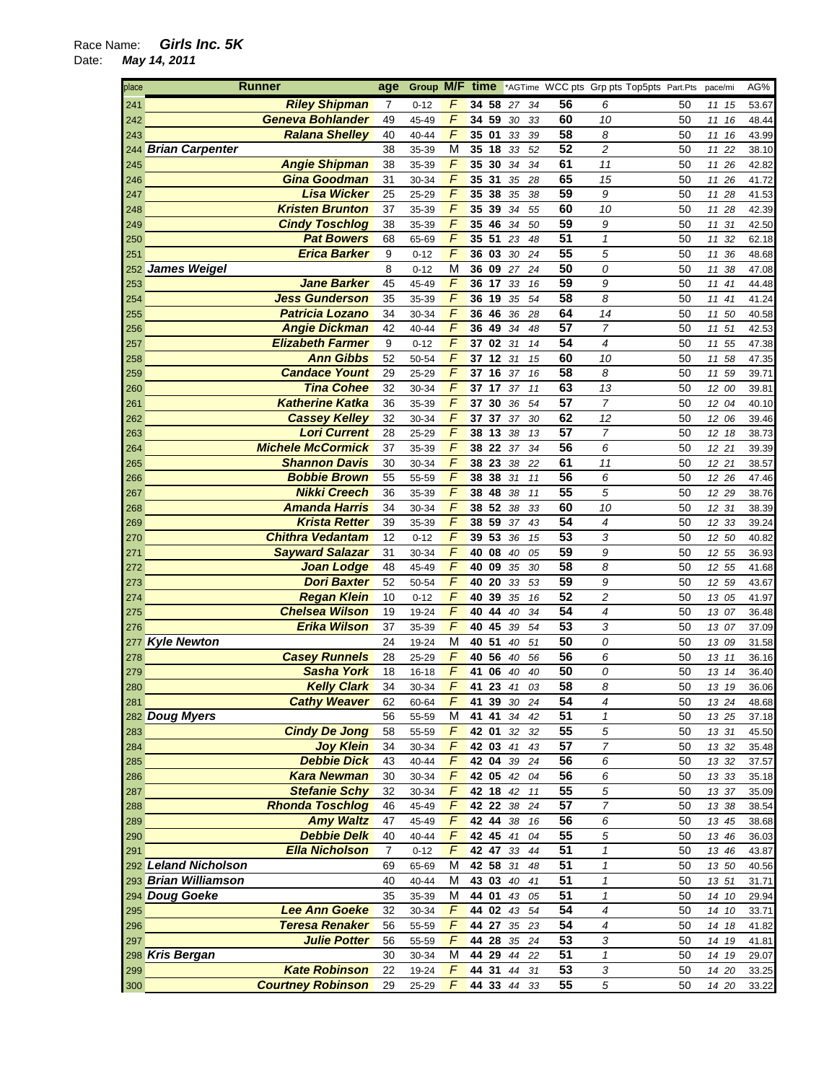| place | <b>Runner</b>                              | age              | Group M/F      |                | time              |    |          |          |                       | *AGTime WCC pts Grp pts Top5pts Part.Pts |          | pace/mi        |    | AG%   |
|-------|--------------------------------------------|------------------|----------------|----------------|-------------------|----|----------|----------|-----------------------|------------------------------------------|----------|----------------|----|-------|
| 241   | <b>Riley Shipman</b>                       | $\overline{7}$   | $0 - 12$       | F              | 34                | 58 | 27       | 34       | 56                    | 6                                        | 50       | 11             | 15 | 53.67 |
| 242   | <b>Geneva Bohlander</b>                    | 49               | 45-49          | $\sqrt{2}$     | 34 59             |    | 30       | 33       | 60                    | 10                                       | 50       | 11 16          |    | 48.44 |
| 243   | <b>Ralana Shelley</b>                      | 40               | 40-44          | F              | 35 01             |    | 33       | 39       | 58                    | 8                                        | 50       | 11             | 16 | 43.99 |
|       | 244 Brian Carpenter                        | 38               | 35-39          | M              | 35                | 18 | 33       | 52       | 52                    | 2                                        | 50       | 11             | 22 | 38.10 |
| 245   | <b>Angie Shipman</b>                       | 38               | 35-39          | F              | 35                | 30 | 34       | 34       | 61                    | 11                                       | 50       | 11 26          |    | 42.82 |
| 246   | <b>Gina Goodman</b>                        | 31               | 30-34          | F              | 35                | 31 | 35       | 28       | 65                    | 15                                       | 50       | 11             | 26 | 41.72 |
|       | <b>Lisa Wicker</b>                         | 25               |                | $\sqrt{2}$     | 35                | 38 | 35       | 38       | 59                    | 9                                        | 50       |                |    |       |
| 247   |                                            | 37               | 25-29          | $\sqrt{2}$     |                   | 39 |          |          | 60                    |                                          |          | 11             | 28 | 41.53 |
| 248   | <b>Kristen Brunton</b>                     |                  | 35-39          |                | 35                |    | 34       | 55       |                       | 10                                       | 50       | 11             | 28 | 42.39 |
| 249   | <b>Cindy Toschlog</b>                      | 38               | 35-39          | F              | 35                | 46 | 34       | 50       | 59                    | 9                                        | 50       | 11             | 31 | 42.50 |
| 250   | <b>Pat Bowers</b>                          | 68               | 65-69          | F              | 35 51             |    | 23       | 48       | 51                    | $\mathbf{1}$                             | 50       | 11 32          |    | 62.18 |
| 251   | <b>Erica Barker</b>                        | 9                | $0 - 12$       | F              | 36 03             |    | 30       | 24       | 55                    | 5                                        | 50       | 11             | 36 | 48.68 |
| 252   | <b>James Weigel</b>                        | 8                | $0 - 12$       | M              | 36                | 09 | 27       | 24       | 50                    | 0                                        | 50       | 11             | 38 | 47.08 |
| 253   | <b>Jane Barker</b>                         | 45               | 45-49          | $\sqrt{2}$     | 36                | 17 | 33       | 16       | 59                    | 9                                        | 50       | 11 41          |    | 44.48 |
| 254   | <b>Jess Gunderson</b>                      | 35               | 35-39          | F              | 36                | 19 | 35       | 54       | 58                    | 8                                        | 50       | 11             | 41 | 41.24 |
| 255   | <b>Patricia Lozano</b>                     | 34               | 30-34          | F              | 36                | 46 | 36       | 28       | 64                    | 14                                       | 50       | 11             | 50 | 40.58 |
| 256   | <b>Angie Dickman</b>                       | 42               | 40-44          | F              | 36                | 49 | 34       | 48       | $\overline{57}$       | $\overline{7}$                           | 50       | 11 51          |    | 42.53 |
| 257   | <b>Elizabeth Farmer</b>                    | 9                | $0 - 12$       | F              | 37                |    | 02 31    | 14       | 54                    | $\overline{\mathcal{A}}$                 | 50       | 11             | 55 | 47.38 |
| 258   | <b>Ann Gibbs</b>                           | 52               | 50-54          | $\sqrt{2}$     | 37                | 12 | 31       | 15       | 60                    | 10                                       | 50       | 11             | 58 | 47.35 |
| 259   | <b>Candace Yount</b>                       | 29               | 25-29          | $\overline{F}$ | 37                | 16 | 37       | 16       | 58                    | 8                                        | 50       | 11             | 59 | 39.71 |
| 260   | <b>Tina Cohee</b>                          | 32               | 30-34          | F              | 37                | 17 | 37       | 11       | 63                    | 13                                       | 50       | 12 00          |    | 39.81 |
| 261   | <b>Katherine Katka</b>                     | 36               | 35-39          | F              | 37                | 30 | 36       | 54       | 57                    | 7                                        | 50       | 12 04          |    | 40.10 |
| 262   | <b>Cassey Kelley</b>                       | 32               | 30-34          | F              | 37                | 37 | 37       | 30       | 62                    | 12                                       | 50       | 12             | 06 | 39.46 |
| 263   | <b>Lori Current</b>                        | 28               | 25-29          | F              | 38                | 13 | 38       | 13       | 57                    | $\overline{7}$                           | 50       | 12             | 18 | 38.73 |
| 264   | <b>Michele McCormick</b>                   | 37               | 35-39          | $\sqrt{2}$     | 38 22             |    | 37       | 34       | 56                    | 6                                        | 50       | 12 21          |    | 39.39 |
| 265   | <b>Shannon Davis</b>                       | 30               | 30-34          | F              | 38                | 23 | 38       | 22       | 61                    | 11                                       | 50       | 12 21          |    | 38.57 |
| 266   | <b>Bobbie Brown</b>                        | 55               | 55-59          | F              | 38                | 38 | 31       | 11       | 56                    | 6                                        | 50       | 12             | 26 | 47.46 |
| 267   | <b>Nikki Creech</b>                        | 36               | 35-39          | F              | 38                | 48 | 38       | 11       | 55                    | 5                                        | 50       | 12 29          |    | 38.76 |
| 268   | <b>Amanda Harris</b>                       | 34               | 30-34          | F              | 38                | 52 | 38       | 33       | 60                    | 10                                       | 50       | 12             | 31 | 38.39 |
| 269   | <b>Krista Retter</b>                       | 39               | 35-39          | $\sqrt{2}$     | 38                | 59 | 37       | 43       | 54                    | $\overline{\mathcal{A}}$                 | 50       | 12             | 33 | 39.24 |
| 270   | <b>Chithra Vedantam</b>                    | 12               | $0 - 12$       | F              | 39 53             |    | 36       | 15       | 53                    | 3                                        | 50       | 12 50          |    | 40.82 |
| 271   | <b>Sayward Salazar</b>                     | 31               | 30-34          | F              | 40                | 08 | 40       | 05       | 59                    | 9                                        | 50       | 12 55          |    | 36.93 |
| 272   | <b>Joan Lodge</b>                          | 48               | 45-49          | F              | 40                | 09 | 35       | 30       | 58                    | 8                                        | 50       | 12 55          |    | 41.68 |
| 273   | <b>Dori Baxter</b>                         | 52               | 50-54          | F              | 40                | 20 | 33       | 53       | 59                    | 9                                        | 50       | 12 59          |    | 43.67 |
| 274   | <b>Regan Klein</b>                         | 10               | $0 - 12$       | F              | 40                | 39 | 35       | 16       | 52                    | $\overline{c}$                           | 50       | 13 05          |    | 41.97 |
| 275   | <b>Chelsea Wilson</b>                      | 19               | 19-24          | $\sqrt{2}$     | 40                | 44 | 40       | 34       | 54                    | $\overline{\mathcal{A}}$                 | 50       | 13 07          |    | 36.48 |
| 276   | <b>Erika Wilson</b>                        | 37               | 35-39          | $\sqrt{2}$     | 40                | 45 | 39       | 54       | 53                    | 3                                        | 50       | 13 07          |    | 37.09 |
|       | 277 Kyle Newton                            | 24               | 19-24          | M              | 40                | 51 | 40       | 51       | 50                    | 0                                        | 50       | 13 09          |    | 31.58 |
| 278   | <b>Casey Runnels</b>                       | 28               | 25-29          | F              | 40 56             |    | 40       | 56       | 56                    | 6                                        | 50       | 13 11          |    | 36.16 |
| 279   | <b>Sasha York</b>                          | 18               | 16-18          | F              | 41                | 06 | 40       | 40       | $\overline{50}$       | 0                                        | 50       | 13             | 14 | 36.40 |
| 280   | <b>Kelly Clark</b>                         | 34               | 30-34          | F              | 41                | 23 | 41       | 03       | 58                    | 8                                        | 50       | 13 19          |    | 36.06 |
| 281   | <b>Cathy Weaver</b>                        | 62               | 60-64          | F              | <b>41 39 30</b>   |    |          | 24       | 54                    | 4                                        | 50       |                |    | 48.68 |
|       | 282 Doug Myers                             | 56               | 55-59          | M              | 41 41             |    | 34       | 42       | 51                    | $\mathbf{1}$                             | 50       | 13 24<br>13 25 |    | 37.18 |
|       | <b>Cindy De Jong</b>                       | 58               | 55-59          | F              | 42 01             |    | 32       |          | 55                    |                                          |          | 13 31          |    |       |
| 283   | <b>Joy Klein</b>                           | 34               |                | F              | 42 03 41          |    |          | 32       | 57                    | 5<br>$\overline{7}$                      | 50<br>50 |                |    | 45.50 |
| 284   | <b>Debbie Dick</b>                         | 43               | 30-34<br>40-44 | $\sqrt{ }$     | 42 04             |    |          | 43<br>24 | 56                    | 6                                        | 50       | 13 32          |    | 35.48 |
| 285   |                                            |                  |                | $\sqrt{2}$     | 42 05             |    | 39       |          | 56                    |                                          |          | 13 32          |    | 37.57 |
| 286   | <b>Kara Newman</b><br><b>Stefanie Schy</b> | 30<br>32         | 30-34          | $\overline{F}$ | 42 18             |    | 42<br>42 | 04       | 55                    | 6<br>5                                   | 50<br>50 | 13 33          |    | 35.18 |
| 287   |                                            |                  | 30-34          |                |                   |    |          | 11       |                       |                                          |          | 13 37          |    | 35.09 |
| 288   | <b>Rhonda Toschlog</b>                     | 46               | 45-49          | F<br>F         | 42 22             |    | 38       | 24       | 57                    | 7                                        | 50       | 13 38          |    | 38.54 |
| 289   | <b>Amy Waltz</b><br><b>Debbie Delk</b>     | 47               | 45-49          | F              | 42 44 38<br>42 45 |    |          | 16       | 56<br>$\overline{55}$ | 6                                        | 50       | 13 45          |    | 38.68 |
| 290   | <b>Ella Nicholson</b>                      | 40               | 40-44          | F              |                   |    | 41       | 04       | 51                    | 5<br>$\mathbf{1}$                        | 50       | 13 46          |    | 36.03 |
| 291   |                                            | $\boldsymbol{7}$ | $0 - 12$       |                | 42 47             |    | 33       | 44       |                       |                                          | 50       | 13 46          |    | 43.87 |
|       | 292 Leland Nicholson                       | 69               | 65-69          | М              | 42 58 31          |    |          | 48       | 51                    | $\mathbf{1}$                             | 50       | 13 50          |    | 40.56 |
|       | 293 Brian Williamson                       | 40               | 40-44          | M              | 43 03             |    | 40       | 41       | 51                    | $\mathbf{1}$                             | 50       | 13 51          |    | 31.71 |
|       | 294 Doug Goeke                             | 35               | 35-39          | M              | 44 01             |    | 43       | 05       | 51                    | 1                                        | 50       | 14 10          |    | 29.94 |
| 295   | <b>Lee Ann Goeke</b>                       | 32               | 30-34          | F              | 44 02 43 54       |    |          |          | 54                    | 4                                        | 50       | 14 10          |    | 33.71 |
| 296   | <b>Teresa Renaker</b>                      | 56               | 55-59          | F              | 44 27             |    | $35\,$   | 23       | 54                    | $\overline{4}$                           | 50       | 14 18          |    | 41.82 |
| 297   | <b>Julie Potter</b>                        | 56               | 55-59          | $\sqrt{2}$     | 44 28             |    | 35       | 24       | 53                    | 3                                        | 50       | 14 19          |    | 41.81 |
|       | 298 Kris Bergan                            | 30               | 30-34          | M              | 44 29             |    | 44       | 22       | 51                    | $\mathbf{1}$                             | 50       | 14 19          |    | 29.07 |
| 299   | <b>Kate Robinson</b>                       | 22               | 19-24          | F              | 44 31             |    | 44       | 31       | 53                    | 3                                        | 50       | 14 20          |    | 33.25 |
| 300   | <b>Courtney Robinson</b>                   | 29               | 25-29          | F              | 44 33             |    | 44 33    |          | 55                    | 5                                        | 50       | 14 20          |    | 33.22 |